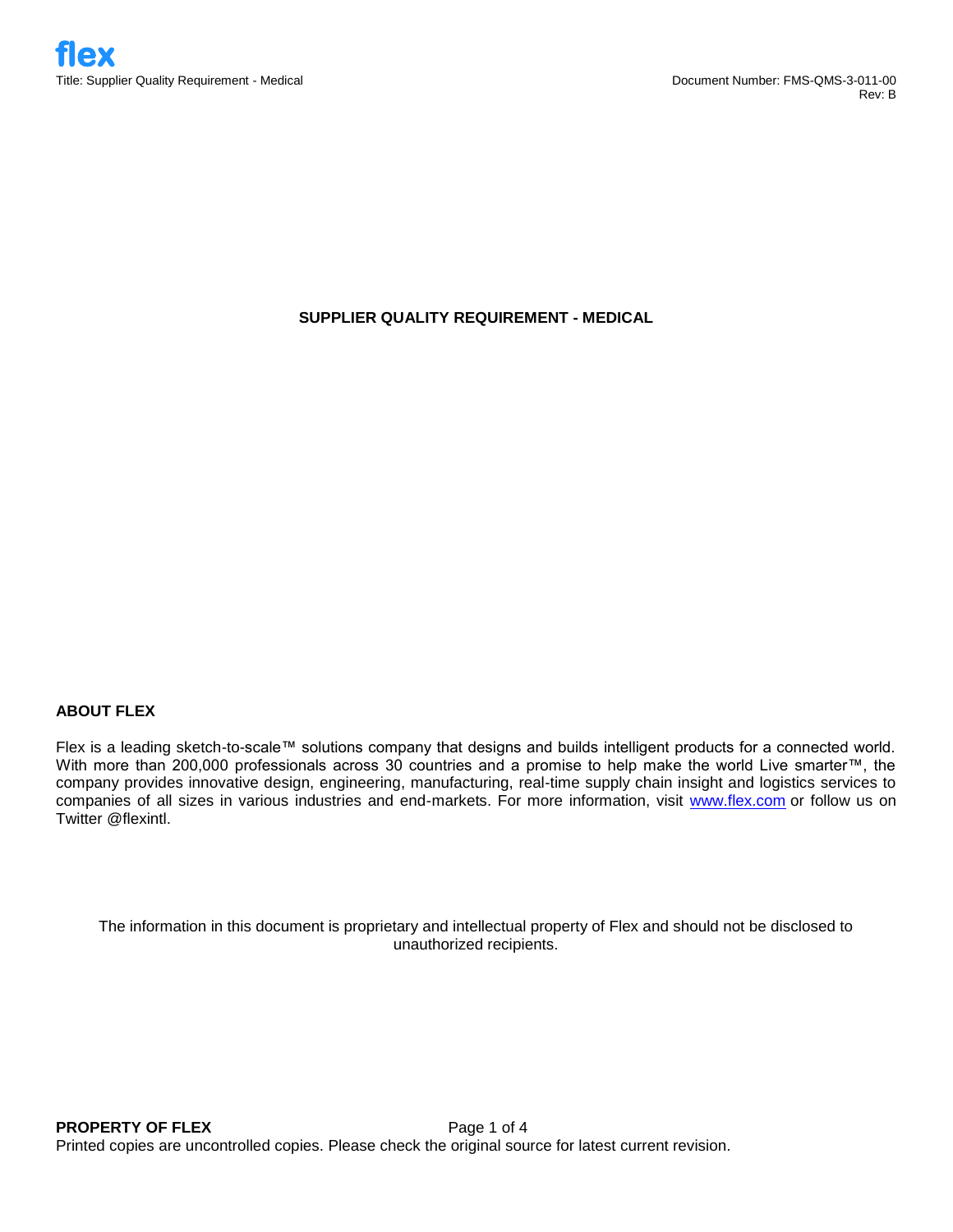# **SUPPLIER QUALITY REQUIREMENT - MEDICAL**

# **ABOUT FLEX**

Flex is a leading sketch-to-scale™ solutions company that designs and builds intelligent products for a connected world. With more than 200,000 professionals across 30 countries and a promise to help make the world Live smarter™, the company provides innovative design, engineering, manufacturing, real-time supply chain insight and logistics services to companies of all sizes in various industries and end-markets. For more information, visit [www.flex.com](http://www.flex.com/) or follow us on Twitter @flexintl.

The information in this document is proprietary and intellectual property of Flex and should not be disclosed to unauthorized recipients.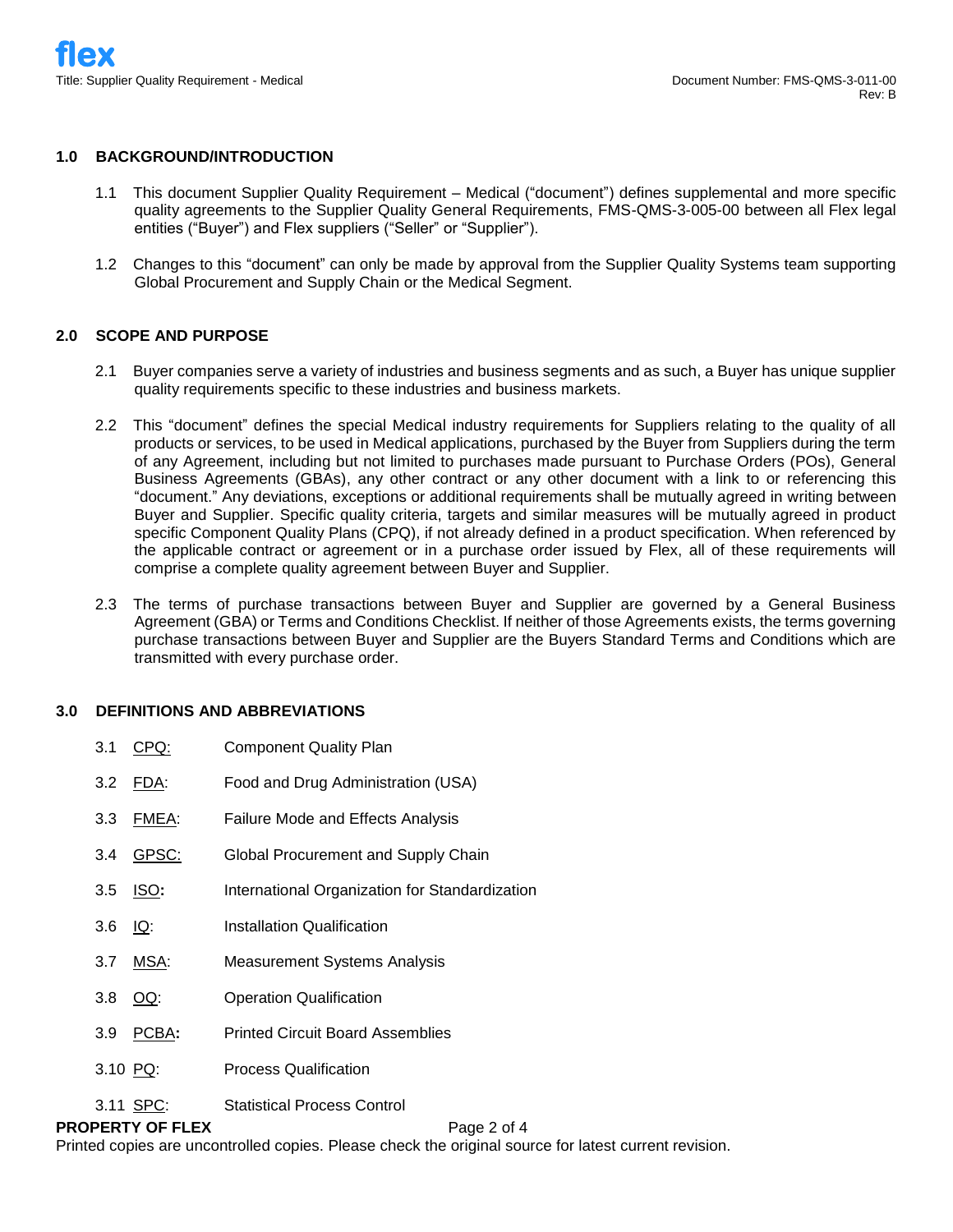#### **1.0 BACKGROUND/INTRODUCTION**

- 1.1 This document Supplier Quality Requirement Medical ("document") defines supplemental and more specific quality agreements to the Supplier Quality General Requirements, FMS-QMS-3-005-00 between all Flex legal entities ("Buyer") and Flex suppliers ("Seller" or "Supplier").
- 1.2 Changes to this "document" can only be made by approval from the Supplier Quality Systems team supporting Global Procurement and Supply Chain or the Medical Segment.

### **2.0 SCOPE AND PURPOSE**

- 2.1 Buyer companies serve a variety of industries and business segments and as such, a Buyer has unique supplier quality requirements specific to these industries and business markets.
- 2.2 This "document" defines the special Medical industry requirements for Suppliers relating to the quality of all products or services, to be used in Medical applications, purchased by the Buyer from Suppliers during the term of any Agreement, including but not limited to purchases made pursuant to Purchase Orders (POs), General Business Agreements (GBAs), any other contract or any other document with a link to or referencing this "document." Any deviations, exceptions or additional requirements shall be mutually agreed in writing between Buyer and Supplier. Specific quality criteria, targets and similar measures will be mutually agreed in product specific Component Quality Plans (CPQ), if not already defined in a product specification. When referenced by the applicable contract or agreement or in a purchase order issued by Flex, all of these requirements will comprise a complete quality agreement between Buyer and Supplier.
- 2.3 The terms of purchase transactions between Buyer and Supplier are governed by a General Business Agreement (GBA) or Terms and Conditions Checklist. If neither of those Agreements exists, the terms governing purchase transactions between Buyer and Supplier are the Buyers Standard Terms and Conditions which are transmitted with every purchase order.

#### **3.0 DEFINITIONS AND ABBREVIATIONS**

| 3.1<br>CPQ:               | <b>Component Quality Plan</b>                  |
|---------------------------|------------------------------------------------|
| 3.2 FDA:                  | Food and Drug Administration (USA)             |
| FMEA:<br>3.3 <sub>1</sub> | <b>Failure Mode and Effects Analysis</b>       |
| GPSC:<br>3.4              | Global Procurement and Supply Chain            |
| <u>ISO:</u><br>3.5        | International Organization for Standardization |
| 3.6 $1Q$ :                | Installation Qualification                     |
| MSA:<br>3.7               | Measurement Systems Analysis                   |
| 3.8 OQ:                   | <b>Operation Qualification</b>                 |
| PCBA:<br>3.9 <sub>2</sub> | <b>Printed Circuit Board Assemblies</b>        |
| $3.10$ PQ:                | <b>Process Qualification</b>                   |
| 3.11 SPC:                 | <b>Statistical Process Control</b>             |

**PROPERTY OF FLEX** Page 2 of 4 Printed copies are uncontrolled copies. Please check the original source for latest current revision.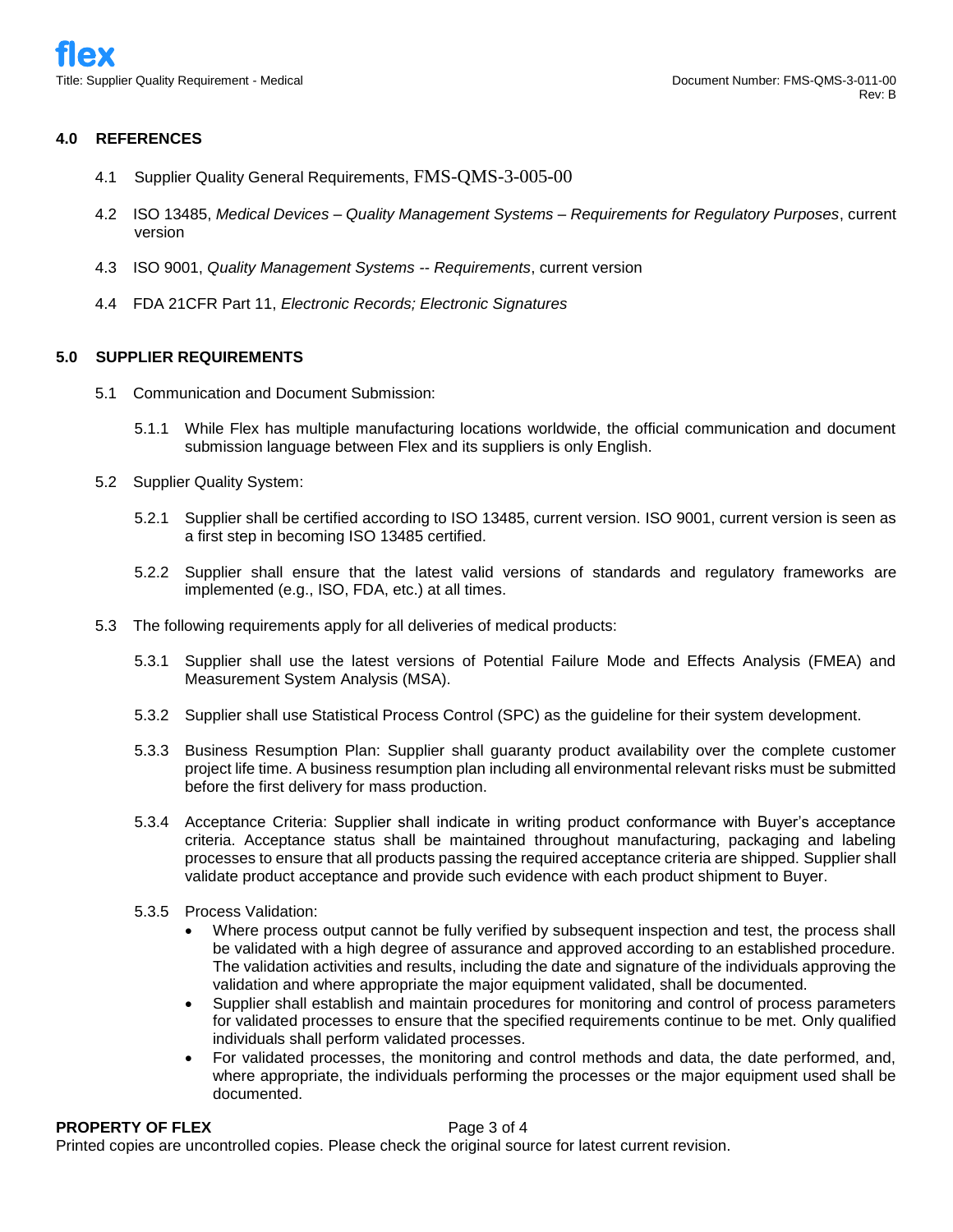#### **4.0 REFERENCES**

- 4.1 Supplier Quality General Requirements, FMS-QMS-3-005-00
- 4.2 ISO 13485, *Medical Devices – Quality Management Systems – Requirements for Regulatory Purposes*, current version
- 4.3 ISO 9001, *Quality Management Systems -- Requirements*, current version
- 4.4 FDA 21CFR Part 11, *Electronic Records; Electronic Signatures*

### **5.0 SUPPLIER REQUIREMENTS**

- 5.1 Communication and Document Submission:
	- 5.1.1 While Flex has multiple manufacturing locations worldwide, the official communication and document submission language between Flex and its suppliers is only English.
- 5.2 Supplier Quality System:
	- 5.2.1 Supplier shall be certified according to ISO 13485, current version. ISO 9001, current version is seen as a first step in becoming ISO 13485 certified.
	- 5.2.2 Supplier shall ensure that the latest valid versions of standards and regulatory frameworks are implemented (e.g., ISO, FDA, etc.) at all times.
- 5.3 The following requirements apply for all deliveries of medical products:
	- 5.3.1 Supplier shall use the latest versions of Potential Failure Mode and Effects Analysis (FMEA) and Measurement System Analysis (MSA).
	- 5.3.2 Supplier shall use Statistical Process Control (SPC) as the guideline for their system development.
	- 5.3.3 Business Resumption Plan: Supplier shall guaranty product availability over the complete customer project life time. A business resumption plan including all environmental relevant risks must be submitted before the first delivery for mass production.
	- 5.3.4 Acceptance Criteria: Supplier shall indicate in writing product conformance with Buyer's acceptance criteria. Acceptance status shall be maintained throughout manufacturing, packaging and labeling processes to ensure that all products passing the required acceptance criteria are shipped. Supplier shall validate product acceptance and provide such evidence with each product shipment to Buyer.
	- 5.3.5 Process Validation:
		- Where process output cannot be fully verified by subsequent inspection and test, the process shall be validated with a high degree of assurance and approved according to an established procedure. The validation activities and results, including the date and signature of the individuals approving the validation and where appropriate the major equipment validated, shall be documented.
		- Supplier shall establish and maintain procedures for monitoring and control of process parameters for validated processes to ensure that the specified requirements continue to be met. Only qualified individuals shall perform validated processes.
		- For validated processes, the monitoring and control methods and data, the date performed, and, where appropriate, the individuals performing the processes or the major equipment used shall be documented.

**PROPERTY OF FLEX** Page 3 of 4 Printed copies are uncontrolled copies. Please check the original source for latest current revision.